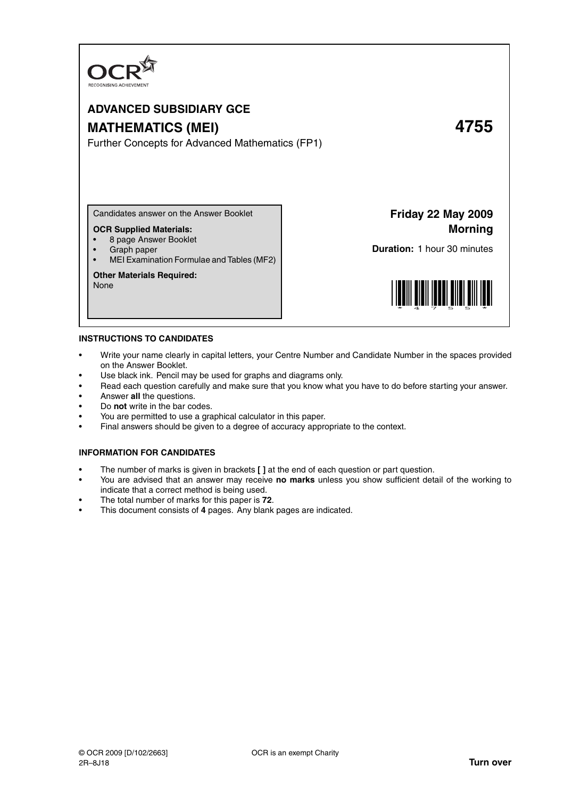

# **ADVANCED SUBSIDIARY GCE MATHEMATICS (MEI) 4755**

Further Concepts for Advanced Mathematics (FP1)

Candidates answer on the Answer Booklet

# **OCR Supplied Materials:**

- 8 page Answer Booklet
- Graph paper
- MEI Examination Formulae and Tables (MF2)

#### **Other Materials Required:**

None

**Friday 22 May 2009 Morning**

**Duration:** 1 hour 30 minutes



#### **INSTRUCTIONS TO CANDIDATES**

- Write your name clearly in capital letters, your Centre Number and Candidate Number in the spaces provided on the Answer Booklet.
- Use black ink. Pencil may be used for graphs and diagrams only.
- Read each question carefully and make sure that you know what you have to do before starting your answer.
- Answer **all** the questions.
- Do **not** write in the bar codes.
- You are permitted to use a graphical calculator in this paper.
- Final answers should be given to a degree of accuracy appropriate to the context.

### **INFORMATION FOR CANDIDATES**

- The number of marks is given in brackets **[ ]** at the end of each question or part question.
- You are advised that an answer may receive **no marks** unless you show sufficient detail of the working to indicate that a correct method is being used.
- The total number of marks for this paper is **72**.
- This document consists of **4** pages. Any blank pages are indicated.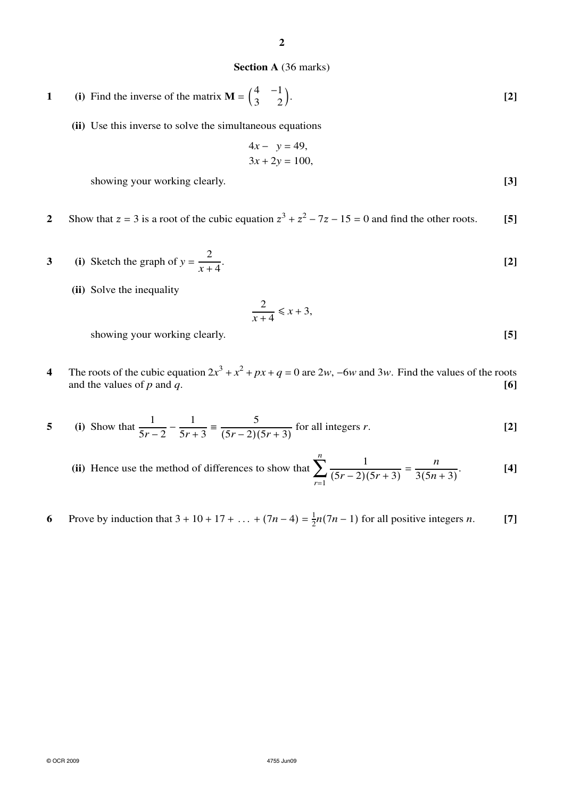# **Section A** (36 marks)

1 (i) Find the inverse of the matrix 
$$
\mathbf{M} = \begin{pmatrix} 4 & -1 \\ 3 & 2 \end{pmatrix}
$$
. [2]

**(ii)** Use this inverse to solve the simultaneous equations

$$
4x - y = 49,
$$
  

$$
3x + 2y = 100,
$$

showing your working clearly. **[3] [3]** 

- **2** Show that  $z = 3$  is a root of the cubic equation  $z^3 + z^2 7z 15 = 0$  and find the other roots. **[5]**
- **3** (i) Sketch the graph of  $y = \frac{2}{x+1}$ *x* + 4 . **[2]**
	- **(ii)** Solve the inequality

$$
\frac{2}{x+4} \leq x+3,
$$

showing your working clearly. **[5]** 

**4** The roots of the cubic equation  $2x^3 + x^2 + px + q = 0$  are  $2w$ , −6*w* and  $3w$ . Find the values of the roots and the values of *p* and *q*. **[6]**

5 (i) Show that 
$$
\frac{1}{5r-2} - \frac{1}{5r+3} = \frac{5}{(5r-2)(5r+3)}
$$
 for all integers r. [2]

- **(ii)** Hence use the method of differences to show that *n* ∑*r*=1 1  $\frac{1}{(5r-2)(5r+3)} = \frac{n}{3(5n)}$  $3(5n + 3)$ . **[4]**
- **6** Prove by induction that  $3 + 10 + 17 + ... + (7n 4) = \frac{1}{2}n(7n 1)$  for all positive integers *n*. [7]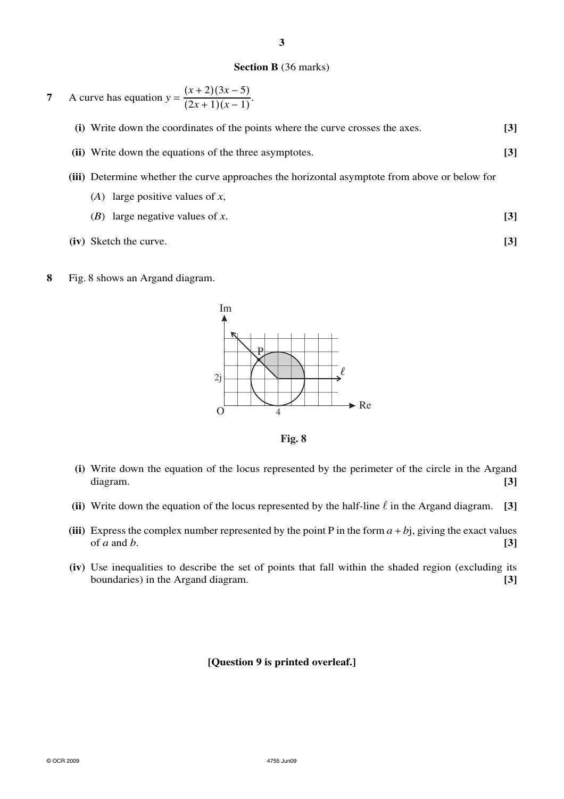# **Section B** (36 marks)

7 A curve has equation 
$$
y = \frac{(x+2)(3x-5)}{(2x+1)(x-1)}
$$
.

- **(i)** Write down the coordinates of the points where the curve crosses the axes. **[3]**
- **(ii)** Write down the equations of the three asymptotes. **[3]**
- **(iii)** Determine whether the curve approaches the horizontal asymptote from above or below for
	- (*A*) large positive values of *x*,
	- (*B*) large negative values of *x*. **[3]**
- **(iv)** Sketch the curve. **[3]**
- **8** Fig. 8 shows an Argand diagram.



**Fig. 8**

- **(i)** Write down the equation of the locus represented by the perimeter of the circle in the Argand diagram. **[3]**
- (ii) Write down the equation of the locus represented by the half-line  $\ell$  in the Argand diagram. **[3]**
- (iii) Express the complex number represented by the point P in the form  $a + bi$ , giving the exact values of *a* and *b*.  $[3]$
- **(iv)** Use inequalities to describe the set of points that fall within the shaded region (excluding its boundaries) in the Argand diagram. **[3]**

# **[Question 9 is printed overleaf.]**